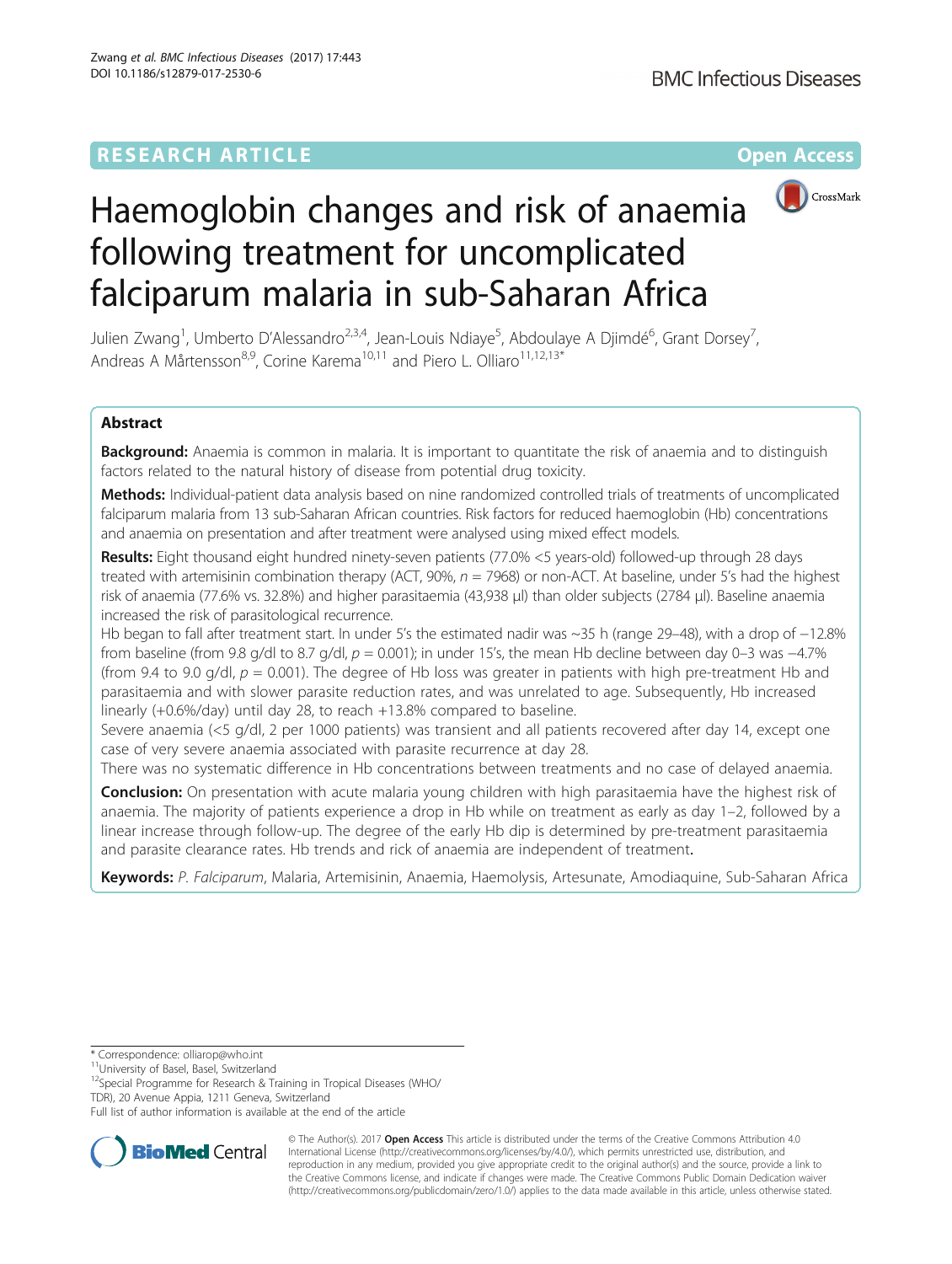# **RESEARCH ARTICLE Example 2014 12:30 The Community Community Community Community Community Community Community**



# Haemoglobin changes and risk of anaemia following treatment for uncomplicated falciparum malaria in sub-Saharan Africa

Julien Zwang<sup>1</sup>, Umberto D'Alessandro<sup>2,3,4</sup>, Jean-Louis Ndiaye<sup>5</sup>, Abdoulaye A Djimdé<sup>6</sup>, Grant Dorsey<sup>7</sup> , Andreas A Mårtensson<sup>8,9</sup>, Corine Karema<sup>10,11</sup> and Piero L. Olliaro<sup>11,12,13\*</sup>

# Abstract

Background: Anaemia is common in malaria. It is important to quantitate the risk of anaemia and to distinguish factors related to the natural history of disease from potential drug toxicity.

Methods: Individual-patient data analysis based on nine randomized controlled trials of treatments of uncomplicated falciparum malaria from 13 sub-Saharan African countries. Risk factors for reduced haemoglobin (Hb) concentrations and anaemia on presentation and after treatment were analysed using mixed effect models.

Results: Eight thousand eight hundred ninety-seven patients (77.0% <5 years-old) followed-up through 28 days treated with artemisinin combination therapy (ACT, 90%,  $n = 7968$ ) or non-ACT. At baseline, under 5's had the highest risk of anaemia (77.6% vs. 32.8%) and higher parasitaemia (43,938 μl) than older subjects (2784 μl). Baseline anaemia increased the risk of parasitological recurrence.

Hb began to fall after treatment start. In under 5's the estimated nadir was ~35 h (range 29–48), with a drop of −12.8% from baseline (from 9.8 g/dl to 8.7 g/dl,  $p = 0.001$ ); in under 15's, the mean Hb decline between day 0–3 was −4.7% (from 9.4 to 9.0 g/dl,  $p = 0.001$ ). The degree of Hb loss was greater in patients with high pre-treatment Hb and parasitaemia and with slower parasite reduction rates, and was unrelated to age. Subsequently, Hb increased linearly (+0.6%/day) until day 28, to reach +13.8% compared to baseline.

Severe anaemia (<5 g/dl, 2 per 1000 patients) was transient and all patients recovered after day 14, except one case of very severe anaemia associated with parasite recurrence at day 28.

There was no systematic difference in Hb concentrations between treatments and no case of delayed anaemia.

Conclusion: On presentation with acute malaria young children with high parasitaemia have the highest risk of anaemia. The majority of patients experience a drop in Hb while on treatment as early as day 1–2, followed by a linear increase through follow-up. The degree of the early Hb dip is determined by pre-treatment parasitaemia and parasite clearance rates. Hb trends and rick of anaemia are independent of treatment.

Keywords: P. Falciparum, Malaria, Artemisinin, Anaemia, Haemolysis, Artesunate, Amodiaquine, Sub-Saharan Africa

12Special Programme for Research & Training in Tropical Diseases (WHO/ TDR), 20 Avenue Appia, 1211 Geneva, Switzerland

Full list of author information is available at the end of the article



© The Author(s). 2017 **Open Access** This article is distributed under the terms of the Creative Commons Attribution 4.0 International License [\(http://creativecommons.org/licenses/by/4.0/](http://creativecommons.org/licenses/by/4.0/)), which permits unrestricted use, distribution, and reproduction in any medium, provided you give appropriate credit to the original author(s) and the source, provide a link to the Creative Commons license, and indicate if changes were made. The Creative Commons Public Domain Dedication waiver [\(http://creativecommons.org/publicdomain/zero/1.0/](http://creativecommons.org/publicdomain/zero/1.0/)) applies to the data made available in this article, unless otherwise stated.

<sup>\*</sup> Correspondence: [olliarop@who.int](mailto:olliarop@who.int) 11University of Basel, Basel, Switzerland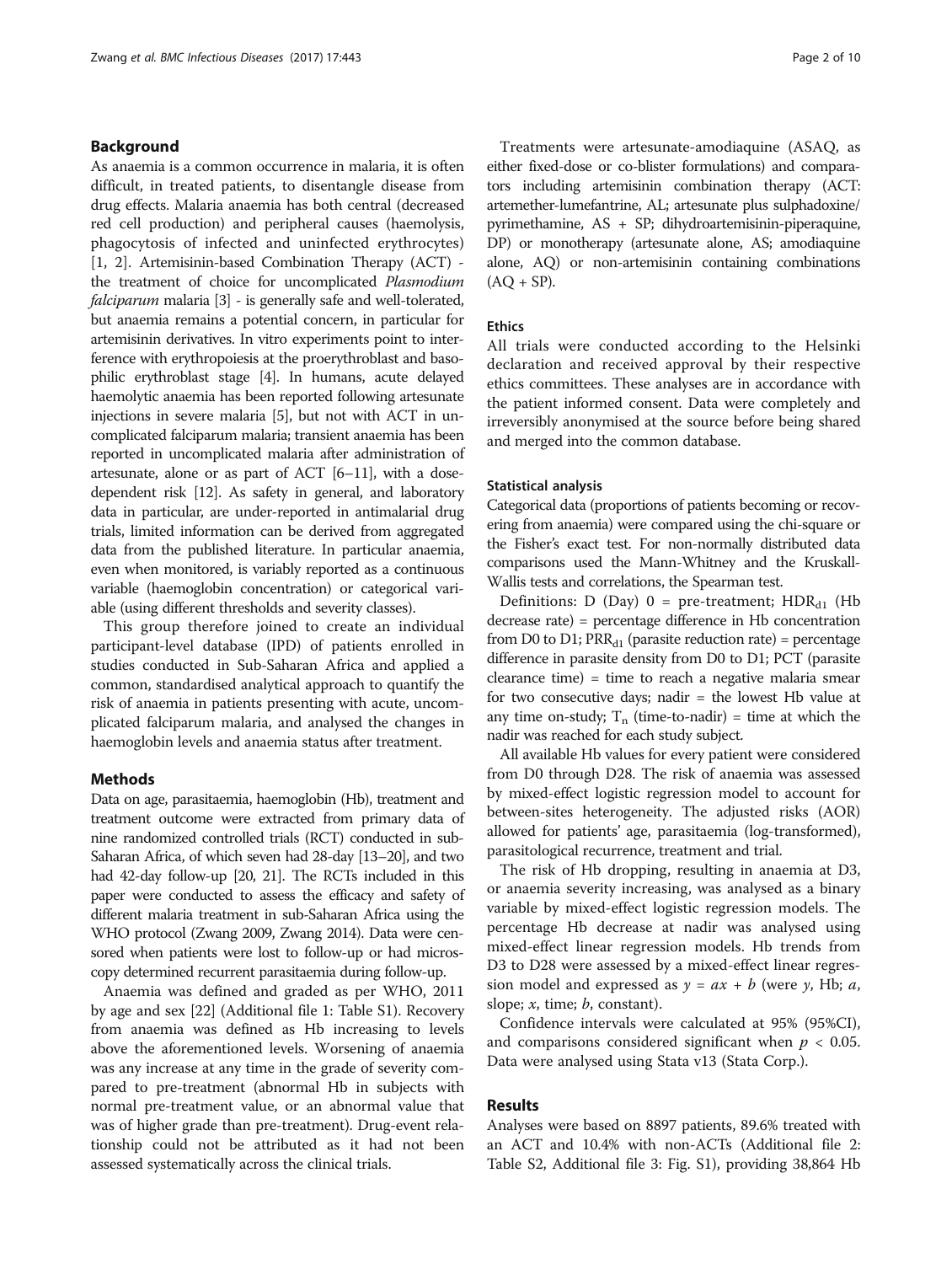# Background

As anaemia is a common occurrence in malaria, it is often difficult, in treated patients, to disentangle disease from drug effects. Malaria anaemia has both central (decreased red cell production) and peripheral causes (haemolysis, phagocytosis of infected and uninfected erythrocytes) [[1, 2\]](#page-8-0). Artemisinin-based Combination Therapy (ACT) the treatment of choice for uncomplicated Plasmodium falciparum malaria [\[3\]](#page-8-0) - is generally safe and well-tolerated, but anaemia remains a potential concern, in particular for artemisinin derivatives. In vitro experiments point to interference with erythropoiesis at the proerythroblast and basophilic erythroblast stage [\[4\]](#page-8-0). In humans, acute delayed haemolytic anaemia has been reported following artesunate injections in severe malaria [\[5\]](#page-8-0), but not with ACT in uncomplicated falciparum malaria; transient anaemia has been reported in uncomplicated malaria after administration of artesunate, alone or as part of ACT [[6](#page-8-0)–[11\]](#page-8-0), with a dosedependent risk [\[12\]](#page-8-0). As safety in general, and laboratory data in particular, are under-reported in antimalarial drug trials, limited information can be derived from aggregated data from the published literature. In particular anaemia, even when monitored, is variably reported as a continuous variable (haemoglobin concentration) or categorical variable (using different thresholds and severity classes).

This group therefore joined to create an individual participant-level database (IPD) of patients enrolled in studies conducted in Sub-Saharan Africa and applied a common, standardised analytical approach to quantify the risk of anaemia in patients presenting with acute, uncomplicated falciparum malaria, and analysed the changes in haemoglobin levels and anaemia status after treatment.

# Methods

Data on age, parasitaemia, haemoglobin (Hb), treatment and treatment outcome were extracted from primary data of nine randomized controlled trials (RCT) conducted in sub-Saharan Africa, of which seven had 28-day [\[13](#page-8-0)–[20](#page-9-0)], and two had 42-day follow-up [\[20](#page-9-0), [21\]](#page-9-0). The RCTs included in this paper were conducted to assess the efficacy and safety of different malaria treatment in sub-Saharan Africa using the WHO protocol (Zwang 2009, Zwang 2014). Data were censored when patients were lost to follow-up or had microscopy determined recurrent parasitaemia during follow-up.

Anaemia was defined and graded as per WHO, 2011 by age and sex [\[22\]](#page-9-0) (Additional file [1](#page-7-0): Table S1). Recovery from anaemia was defined as Hb increasing to levels above the aforementioned levels. Worsening of anaemia was any increase at any time in the grade of severity compared to pre-treatment (abnormal Hb in subjects with normal pre-treatment value, or an abnormal value that was of higher grade than pre-treatment). Drug-event relationship could not be attributed as it had not been assessed systematically across the clinical trials.

Treatments were artesunate-amodiaquine (ASAQ, as either fixed-dose or co-blister formulations) and comparators including artemisinin combination therapy (ACT: artemether-lumefantrine, AL; artesunate plus sulphadoxine/ pyrimethamine, AS + SP; dihydroartemisinin-piperaquine, DP) or monotherapy (artesunate alone, AS; amodiaquine alone, AQ) or non-artemisinin containing combinations  $(AO + SP)$ .

#### Ethics

All trials were conducted according to the Helsinki declaration and received approval by their respective ethics committees. These analyses are in accordance with the patient informed consent. Data were completely and irreversibly anonymised at the source before being shared and merged into the common database.

#### Statistical analysis

Categorical data (proportions of patients becoming or recovering from anaemia) were compared using the chi-square or the Fisher's exact test. For non-normally distributed data comparisons used the Mann-Whitney and the Kruskall-Wallis tests and correlations, the Spearman test.

Definitions: D (Day)  $0 =$  pre-treatment;  $HDR_{d1}$  (Hb decrease rate) = percentage difference in Hb concentration from D0 to D1;  $PRR_{d1}$  (parasite reduction rate) = percentage difference in parasite density from D0 to D1; PCT (parasite clearance time) = time to reach a negative malaria smear for two consecutive days; nadir = the lowest Hb value at any time on-study;  $T_n$  (time-to-nadir) = time at which the nadir was reached for each study subject.

All available Hb values for every patient were considered from D0 through D28. The risk of anaemia was assessed by mixed-effect logistic regression model to account for between-sites heterogeneity. The adjusted risks (AOR) allowed for patients' age, parasitaemia (log-transformed), parasitological recurrence, treatment and trial.

The risk of Hb dropping, resulting in anaemia at D3, or anaemia severity increasing, was analysed as a binary variable by mixed-effect logistic regression models. The percentage Hb decrease at nadir was analysed using mixed-effect linear regression models. Hb trends from D3 to D28 were assessed by a mixed-effect linear regression model and expressed as  $y = ax + b$  (were y, Hb; a, slope;  $x$ , time;  $b$ , constant).

Confidence intervals were calculated at 95% (95%CI), and comparisons considered significant when  $p < 0.05$ . Data were analysed using Stata v13 (Stata Corp.).

#### Results

Analyses were based on 8897 patients, 89.6% treated with an ACT and 10.4% with non-ACTs (Additional file [2](#page-7-0): Table S2, Additional file [3](#page-7-0): Fig. S1), providing 38,864 Hb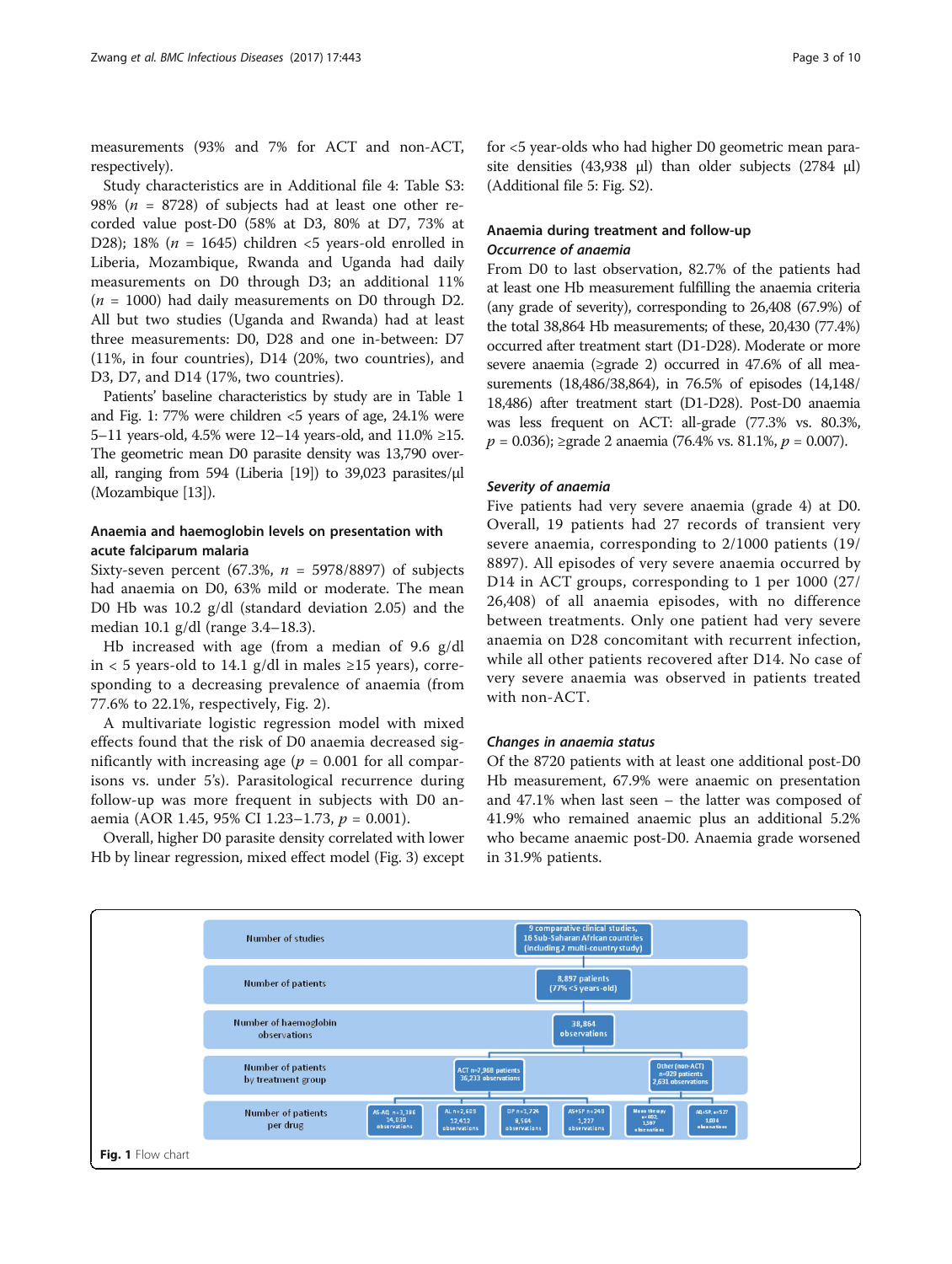measurements (93% and 7% for ACT and non-ACT, respectively).

Study characteristics are in Additional file [4](#page-7-0): Table S3: 98% ( $n = 8728$ ) of subjects had at least one other recorded value post-D0 (58% at D3, 80% at D7, 73% at D28); 18% ( $n = 1645$ ) children <5 years-old enrolled in Liberia, Mozambique, Rwanda and Uganda had daily measurements on D0 through D3; an additional 11%  $(n = 1000)$  had daily measurements on D0 through D2. All but two studies (Uganda and Rwanda) had at least three measurements: D0, D28 and one in-between: D7 (11%, in four countries), D14 (20%, two countries), and D3, D7, and D14 (17%, two countries).

Patients' baseline characteristics by study are in Table 1 and Fig. 1: 77% were children <5 years of age, 24.1% were 5–11 years-old, 4.5% were 12–14 years-old, and 11.0% ≥15. The geometric mean D0 parasite density was 13,790 overall, ranging from 594 (Liberia [\[19\]](#page-9-0)) to 39,023 parasites/μl (Mozambique [\[13\]](#page-8-0)).

# Anaemia and haemoglobin levels on presentation with acute falciparum malaria

Sixty-seven percent (67.3%,  $n = 5978/8897$ ) of subjects had anaemia on D0, 63% mild or moderate. The mean D0 Hb was 10.2 g/dl (standard deviation 2.05) and the median 10.1 g/dl (range 3.4–18.3).

Hb increased with age (from a median of 9.6 g/dl in < 5 years-old to 14.1 g/dl in males ≥15 years), corresponding to a decreasing prevalence of anaemia (from 77.6% to 22.1%, respectively, Fig. [2](#page-3-0)).

A multivariate logistic regression model with mixed effects found that the risk of D0 anaemia decreased significantly with increasing age ( $p = 0.001$  for all comparisons vs. under 5's). Parasitological recurrence during follow-up was more frequent in subjects with D0 anaemia (AOR 1.45, 95% CI 1.23–1.73,  $p = 0.001$ ).

Overall, higher D0 parasite density correlated with lower Hb by linear regression, mixed effect model (Fig. [3\)](#page-3-0) except for <5 year-olds who had higher D0 geometric mean parasite densities (43,938 μl) than older subjects (2784 μl) (Additional file [5](#page-7-0): Fig. S2).

# Anaemia during treatment and follow-up Occurrence of anaemia

From D0 to last observation, 82.7% of the patients had at least one Hb measurement fulfilling the anaemia criteria (any grade of severity), corresponding to 26,408 (67.9%) of the total 38,864 Hb measurements; of these, 20,430 (77.4%) occurred after treatment start (D1-D28). Moderate or more severe anaemia (≥grade 2) occurred in 47.6% of all measurements (18,486/38,864), in 76.5% of episodes (14,148/ 18,486) after treatment start (D1-D28). Post-D0 anaemia was less frequent on ACT: all-grade (77.3% vs. 80.3%,  $p = 0.036$ ); ≥grade 2 anaemia (76.4% vs. 81.1%,  $p = 0.007$ ).

#### Severity of anaemia

Five patients had very severe anaemia (grade 4) at D0. Overall, 19 patients had 27 records of transient very severe anaemia, corresponding to 2/1000 patients (19/ 8897). All episodes of very severe anaemia occurred by D14 in ACT groups, corresponding to 1 per 1000 (27/ 26,408) of all anaemia episodes, with no difference between treatments. Only one patient had very severe anaemia on D28 concomitant with recurrent infection, while all other patients recovered after D14. No case of very severe anaemia was observed in patients treated with non-ACT.

#### Changes in anaemia status

Of the 8720 patients with at least one additional post-D0 Hb measurement, 67.9% were anaemic on presentation and 47.1% when last seen – the latter was composed of 41.9% who remained anaemic plus an additional 5.2% who became anaemic post-D0. Anaemia grade worsened in 31.9% patients.

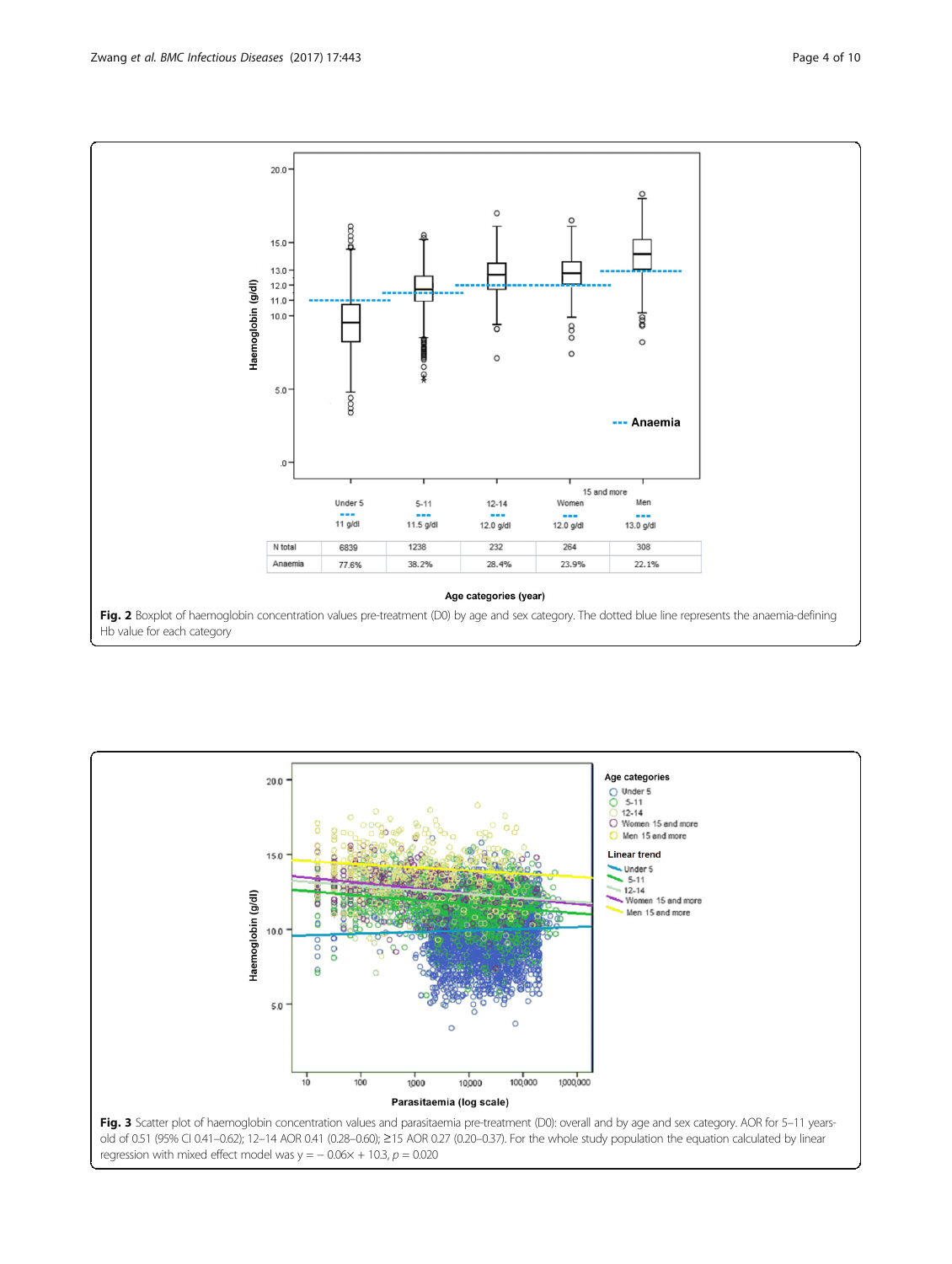<span id="page-3-0"></span>

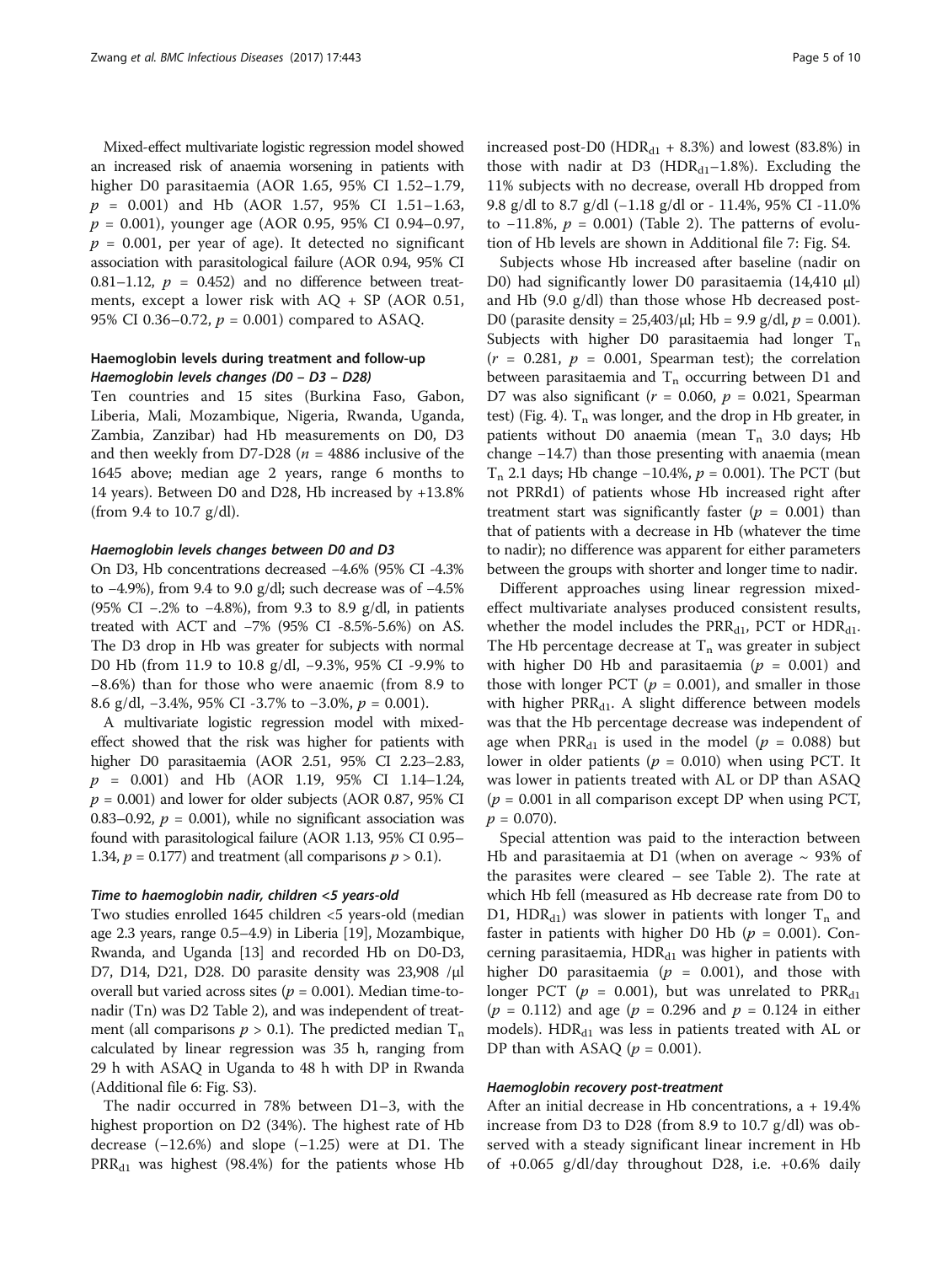Mixed-effect multivariate logistic regression model showed an increased risk of anaemia worsening in patients with higher D0 parasitaemia (AOR 1.65, 95% CI 1.52–1.79,  $p = 0.001$ ) and Hb (AOR 1.57, 95% CI 1.51–1.63,  $p = 0.001$ ), younger age (AOR 0.95, 95% CI 0.94-0.97,  $p = 0.001$ , per year of age). It detected no significant association with parasitological failure (AOR 0.94, 95% CI 0.81–1.12,  $p = 0.452$  and no difference between treatments, except a lower risk with  $AQ + SP$  (AOR 0.51, 95% CI 0.36–0.72,  $p = 0.001$ ) compared to ASAQ.

# Haemoglobin levels during treatment and follow-up Haemoglobin levels changes (D0 – D3 – D28)

Ten countries and 15 sites (Burkina Faso, Gabon, Liberia, Mali, Mozambique, Nigeria, Rwanda, Uganda, Zambia, Zanzibar) had Hb measurements on D0, D3 and then weekly from D7-D28 ( $n = 4886$  inclusive of the 1645 above; median age 2 years, range 6 months to 14 years). Between D0 and D28, Hb increased by +13.8% (from 9.4 to 10.7 g/dl).

#### Haemoglobin levels changes between D0 and D3

On D3, Hb concentrations decreased −4.6% (95% CI -4.3% to −4.9%), from 9.4 to 9.0 g/dl; such decrease was of −4.5% (95% CI −.2% to −4.8%), from 9.3 to 8.9 g/dl, in patients treated with ACT and −7% (95% CI -8.5%-5.6%) on AS. The D3 drop in Hb was greater for subjects with normal D0 Hb (from 11.9 to 10.8 g/dl, −9.3%, 95% CI -9.9% to −8.6%) than for those who were anaemic (from 8.9 to 8.6 g/dl,  $-3.4\%$ , 95% CI  $-3.7\%$  to  $-3.0\%$ ,  $p = 0.001$ ).

A multivariate logistic regression model with mixedeffect showed that the risk was higher for patients with higher D0 parasitaemia (AOR 2.51, 95% CI 2.23–2.83,  $p = 0.001$  and Hb (AOR 1.19, 95% CI 1.14-1.24,  $p = 0.001$ ) and lower for older subjects (AOR 0.87, 95% CI 0.83–0.92,  $p = 0.001$ ), while no significant association was found with parasitological failure (AOR 1.13, 95% CI 0.95– 1.34,  $p = 0.177$ ) and treatment (all comparisons  $p > 0.1$ ).

#### Time to haemoglobin nadir, children <5 years-old

Two studies enrolled 1645 children <5 years-old (median age 2.3 years, range 0.5–4.9) in Liberia [[19](#page-9-0)], Mozambique, Rwanda, and Uganda [[13](#page-8-0)] and recorded Hb on D0-D3, D7, D14, D21, D28. D0 parasite density was 23,908 /μl overall but varied across sites ( $p = 0.001$ ). Median time-tonadir (Tn) was D2 Table 2), and was independent of treatment (all comparisons  $p > 0.1$ ). The predicted median T<sub>n</sub> calculated by linear regression was 35 h, ranging from 29 h with ASAQ in Uganda to 48 h with DP in Rwanda (Additional file [6](#page-7-0): Fig. S3).

The nadir occurred in 78% between D1–3, with the highest proportion on D2 (34%). The highest rate of Hb decrease  $(-12.6%)$  and slope  $(-1.25)$  were at D1. The  $PRR_{d1}$  was highest (98.4%) for the patients whose Hb increased post-D0 (HDR $_{d1}$  + 8.3%) and lowest (83.8%) in those with nadir at D3 ( $HDR_{d1}$ –1.8%). Excluding the 11% subjects with no decrease, overall Hb dropped from 9.8 g/dl to 8.7 g/dl (−1.18 g/dl or - 11.4%, 95% CI -11.0% to  $-11.8\%$ ,  $p = 0.001$ ) (Table 2). The patterns of evolution of Hb levels are shown in Additional file [7:](#page-8-0) Fig. S4.

Subjects whose Hb increased after baseline (nadir on D0) had significantly lower D0 parasitaemia (14,410 μl) and Hb (9.0 g/dl) than those whose Hb decreased post-D0 (parasite density =  $25,403/\mu$ ; Hb = 9.9 g/dl,  $p = 0.001$ ). Subjects with higher D0 parasitaemia had longer  $T_n$  $(r = 0.281, p = 0.001,$  Spearman test); the correlation between parasitaemia and  $T_n$  occurring between D1 and D7 was also significant ( $r = 0.060$ ,  $p = 0.021$ , Spearman test) (Fig. [4\)](#page-5-0).  $T_n$  was longer, and the drop in Hb greater, in patients without D0 anaemia (mean  $T_n$  3.0 days; Hb change −14.7) than those presenting with anaemia (mean T<sub>n</sub> 2.1 days; Hb change −10.4%,  $p = 0.001$ ). The PCT (but not PRRd1) of patients whose Hb increased right after treatment start was significantly faster ( $p = 0.001$ ) than that of patients with a decrease in Hb (whatever the time to nadir); no difference was apparent for either parameters between the groups with shorter and longer time to nadir.

Different approaches using linear regression mixedeffect multivariate analyses produced consistent results, whether the model includes the PRR $_{d1}$ , PCT or HDR $_{d1}$ . The Hb percentage decrease at  $T_n$  was greater in subject with higher D0 Hb and parasitaemia ( $p = 0.001$ ) and those with longer PCT ( $p = 0.001$ ), and smaller in those with higher PRR<sub>d1</sub>. A slight difference between models was that the Hb percentage decrease was independent of age when PRR<sub>d1</sub> is used in the model ( $p = 0.088$ ) but lower in older patients ( $p = 0.010$ ) when using PCT. It was lower in patients treated with AL or DP than ASAQ  $(p = 0.001$  in all comparison except DP when using PCT,  $p = 0.070$ .

Special attention was paid to the interaction between Hb and parasitaemia at D1 (when on average  $\sim$  93% of the parasites were cleared – see Table 2). The rate at which Hb fell (measured as Hb decrease rate from D0 to D1, HDR<sub>d1</sub>) was slower in patients with longer T<sub>n</sub> and faster in patients with higher D0 Hb ( $p = 0.001$ ). Concerning parasitaemia,  $HDR<sub>d1</sub>$  was higher in patients with higher D0 parasitaemia ( $p = 0.001$ ), and those with longer PCT ( $p = 0.001$ ), but was unrelated to PRR<sub>d1</sub>  $(p = 0.112)$  and age  $(p = 0.296$  and  $p = 0.124$  in either models).  $HDR<sub>d1</sub>$  was less in patients treated with AL or DP than with ASAQ  $(p = 0.001)$ .

## Haemoglobin recovery post-treatment

After an initial decrease in Hb concentrations, a + 19.4% increase from D3 to D28 (from 8.9 to 10.7 g/dl) was observed with a steady significant linear increment in Hb of +0.065 g/dl/day throughout D28, i.e. +0.6% daily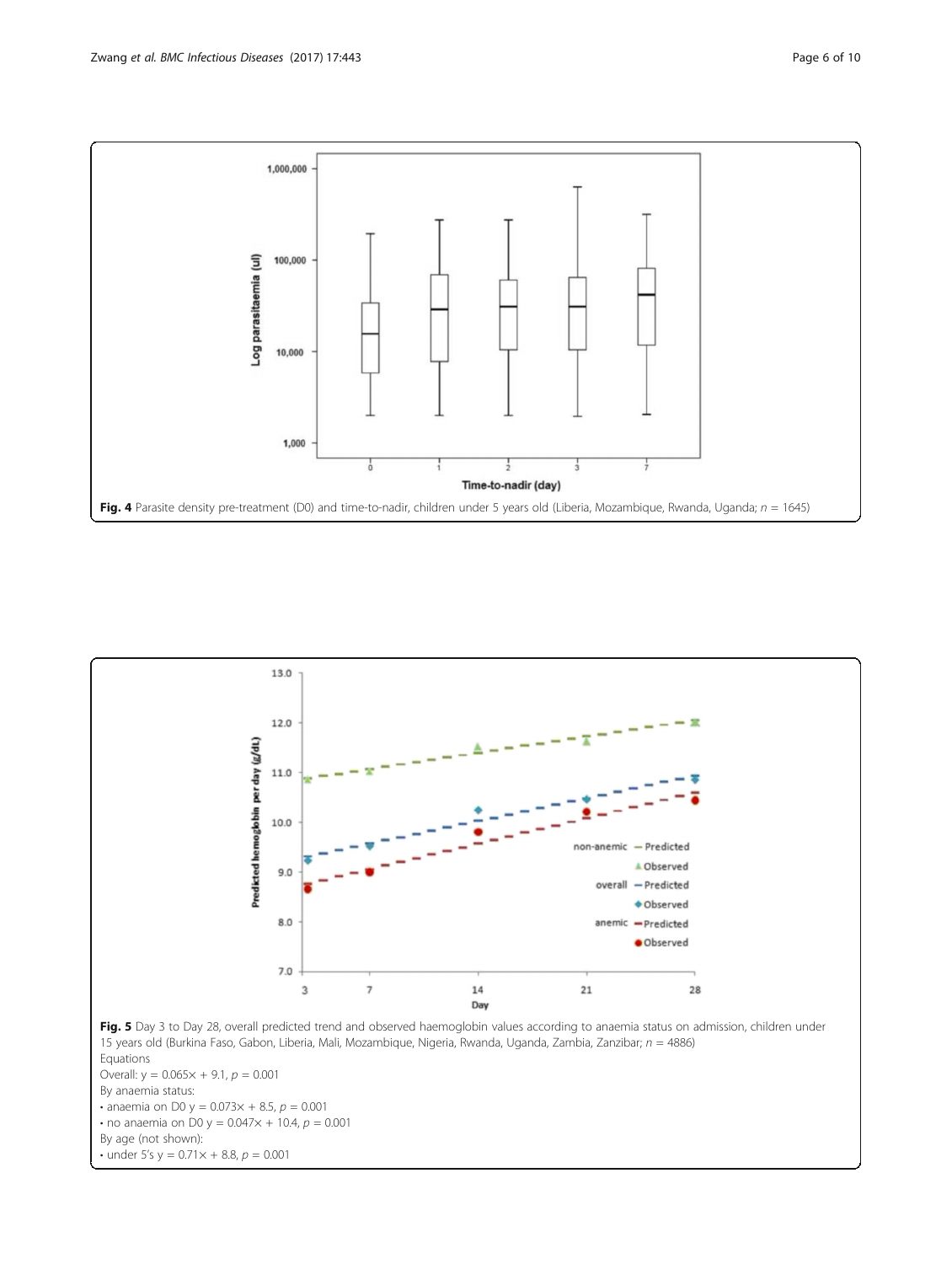<span id="page-5-0"></span>

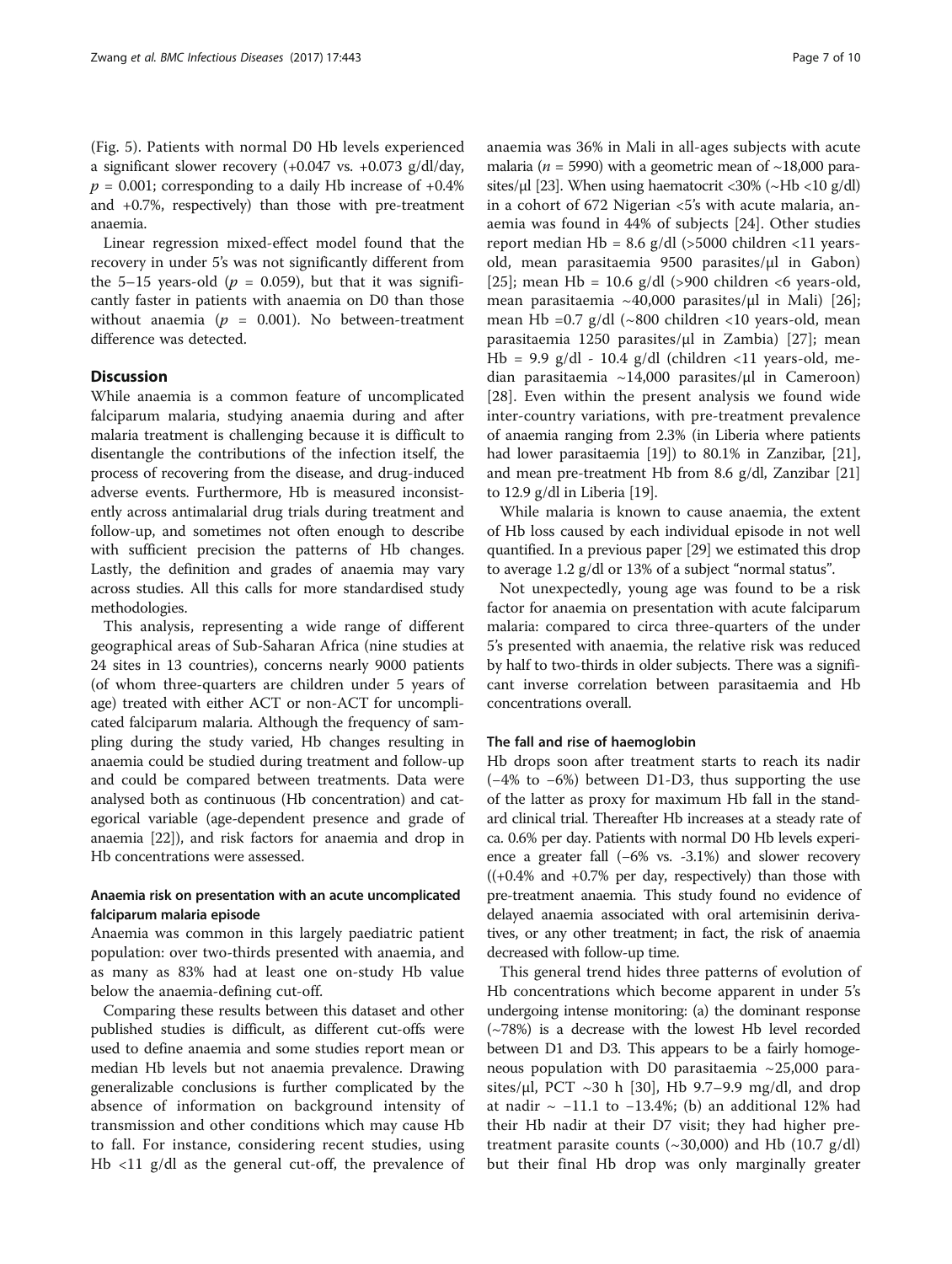(Fig. [5](#page-5-0)). Patients with normal D0 Hb levels experienced a significant slower recovery  $(+0.047 \text{ vs. } +0.073 \text{ g}/\text{d}l/\text{day})$ ,  $p = 0.001$ ; corresponding to a daily Hb increase of +0.4% and +0.7%, respectively) than those with pre-treatment anaemia.

Linear regression mixed-effect model found that the recovery in under 5's was not significantly different from the 5–15 years-old ( $p = 0.059$ ), but that it was significantly faster in patients with anaemia on D0 than those without anaemia ( $p = 0.001$ ). No between-treatment difference was detected.

# **Discussion**

While anaemia is a common feature of uncomplicated falciparum malaria, studying anaemia during and after malaria treatment is challenging because it is difficult to disentangle the contributions of the infection itself, the process of recovering from the disease, and drug-induced adverse events. Furthermore, Hb is measured inconsistently across antimalarial drug trials during treatment and follow-up, and sometimes not often enough to describe with sufficient precision the patterns of Hb changes. Lastly, the definition and grades of anaemia may vary across studies. All this calls for more standardised study methodologies.

This analysis, representing a wide range of different geographical areas of Sub-Saharan Africa (nine studies at 24 sites in 13 countries), concerns nearly 9000 patients (of whom three-quarters are children under 5 years of age) treated with either ACT or non-ACT for uncomplicated falciparum malaria. Although the frequency of sampling during the study varied, Hb changes resulting in anaemia could be studied during treatment and follow-up and could be compared between treatments. Data were analysed both as continuous (Hb concentration) and categorical variable (age-dependent presence and grade of anaemia [\[22\]](#page-9-0)), and risk factors for anaemia and drop in Hb concentrations were assessed.

## Anaemia risk on presentation with an acute uncomplicated falciparum malaria episode

Anaemia was common in this largely paediatric patient population: over two-thirds presented with anaemia, and as many as 83% had at least one on-study Hb value below the anaemia-defining cut-off.

Comparing these results between this dataset and other published studies is difficult, as different cut-offs were used to define anaemia and some studies report mean or median Hb levels but not anaemia prevalence. Drawing generalizable conclusions is further complicated by the absence of information on background intensity of transmission and other conditions which may cause Hb to fall. For instance, considering recent studies, using Hb <11 g/dl as the general cut-off, the prevalence of anaemia was 36% in Mali in all-ages subjects with acute malaria ( $n = 5990$ ) with a geometric mean of ~18,000 parasites/ $\mu$ l [\[23](#page-9-0)]. When using haematocrit <30% (~Hb <10 g/dl) in a cohort of 672 Nigerian <5's with acute malaria, anaemia was found in 44% of subjects [[24\]](#page-9-0). Other studies report median Hb =  $8.6$  g/dl (>5000 children <11 yearsold, mean parasitaemia 9500 parasites/μl in Gabon) [[25\]](#page-9-0); mean Hb = 10.6 g/dl (>900 children <6 years-old, mean parasitaemia ~40,000 parasites/ $\mu$ l in Mali) [\[26](#page-9-0)]; mean Hb =0.7 g/dl (~800 children <10 years-old, mean parasitaemia 1250 parasites/μl in Zambia) [[27\]](#page-9-0); mean Hb = 9.9 g/dl - 10.4 g/dl (children <11 years-old, median parasitaemia ~14,000 parasites/ $\mu$ l in Cameroon) [[28\]](#page-9-0). Even within the present analysis we found wide inter-country variations, with pre-treatment prevalence of anaemia ranging from 2.3% (in Liberia where patients had lower parasitaemia [[19](#page-9-0)]) to 80.1% in Zanzibar, [[21](#page-9-0)], and mean pre-treatment Hb from 8.6 g/dl, Zanzibar [[21](#page-9-0)] to 12.9 g/dl in Liberia [[19](#page-9-0)].

While malaria is known to cause anaemia, the extent of Hb loss caused by each individual episode in not well quantified. In a previous paper [\[29](#page-9-0)] we estimated this drop to average 1.2 g/dl or 13% of a subject "normal status".

Not unexpectedly, young age was found to be a risk factor for anaemia on presentation with acute falciparum malaria: compared to circa three-quarters of the under 5's presented with anaemia, the relative risk was reduced by half to two-thirds in older subjects. There was a significant inverse correlation between parasitaemia and Hb concentrations overall.

## The fall and rise of haemoglobin

Hb drops soon after treatment starts to reach its nadir (−4% to −6%) between D1-D3, thus supporting the use of the latter as proxy for maximum Hb fall in the standard clinical trial. Thereafter Hb increases at a steady rate of ca. 0.6% per day. Patients with normal D0 Hb levels experience a greater fall (−6% vs. -3.1%) and slower recovery  $((+0.4\% \text{ and } +0.7\% \text{ per day}, \text{ respectively})$  than those with pre-treatment anaemia. This study found no evidence of delayed anaemia associated with oral artemisinin derivatives, or any other treatment; in fact, the risk of anaemia decreased with follow-up time.

This general trend hides three patterns of evolution of Hb concentrations which become apparent in under 5's undergoing intense monitoring: (a) the dominant response (~78%) is a decrease with the lowest Hb level recorded between D1 and D3. This appears to be a fairly homogeneous population with D0 parasitaemia ~25,000 parasites/μl, PCT ~30 h [\[30](#page-9-0)], Hb 9.7–9.9 mg/dl, and drop at nadir  $\sim$  -11.1 to -13.4%; (b) an additional 12% had their Hb nadir at their D7 visit; they had higher pretreatment parasite counts ( $\sim$ 30,000) and Hb (10.7 g/dl) but their final Hb drop was only marginally greater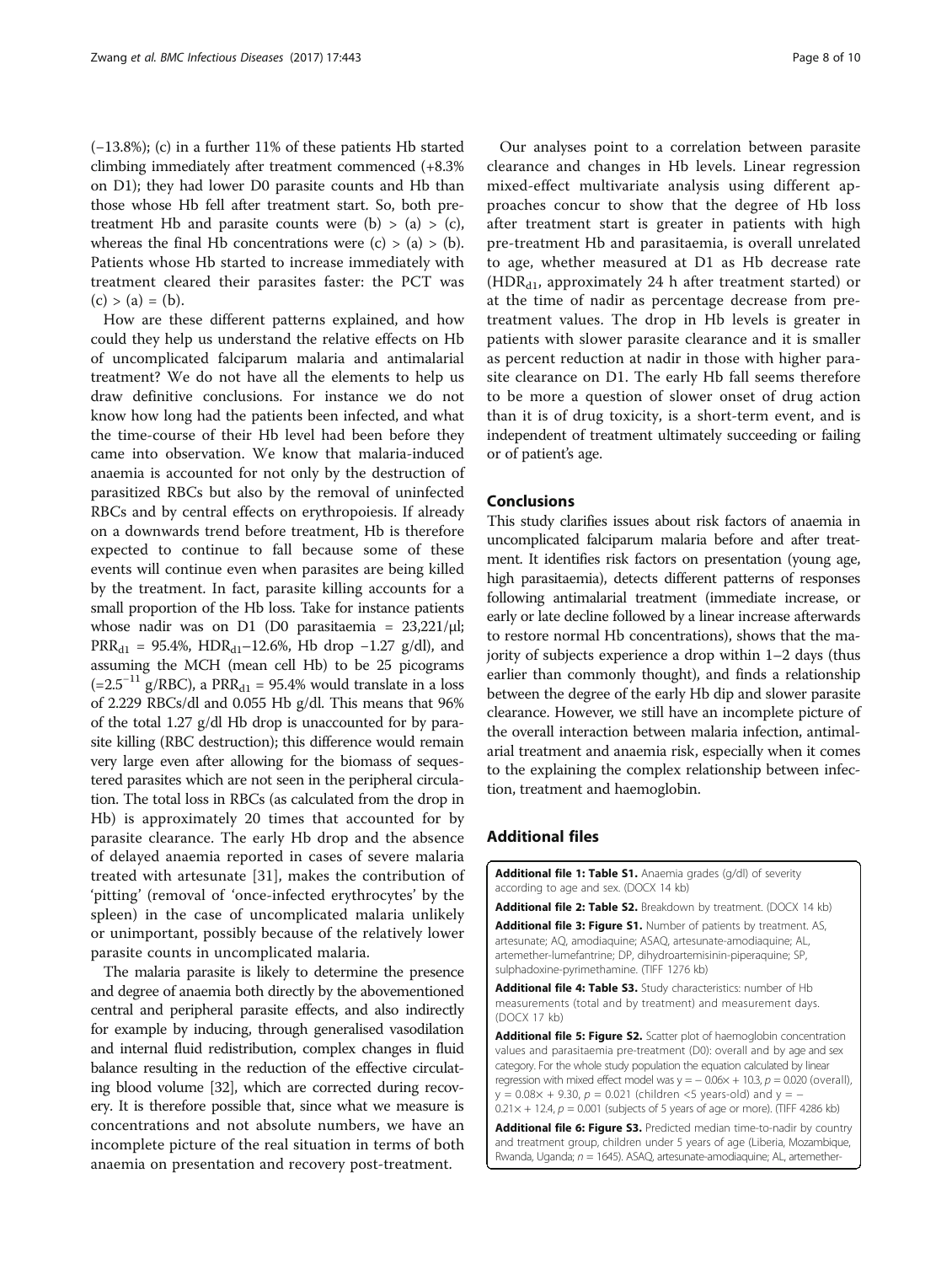<span id="page-7-0"></span>(−13.8%); (c) in a further 11% of these patients Hb started climbing immediately after treatment commenced (+8.3% on D1); they had lower D0 parasite counts and Hb than those whose Hb fell after treatment start. So, both pretreatment Hb and parasite counts were  $(b) > (a) > (c)$ , whereas the final Hb concentrations were  $(c) > (a) > (b)$ . Patients whose Hb started to increase immediately with treatment cleared their parasites faster: the PCT was  $(c) > (a) = (b).$ 

How are these different patterns explained, and how could they help us understand the relative effects on Hb of uncomplicated falciparum malaria and antimalarial treatment? We do not have all the elements to help us draw definitive conclusions. For instance we do not know how long had the patients been infected, and what the time-course of their Hb level had been before they came into observation. We know that malaria-induced anaemia is accounted for not only by the destruction of parasitized RBCs but also by the removal of uninfected RBCs and by central effects on erythropoiesis. If already on a downwards trend before treatment, Hb is therefore expected to continue to fall because some of these events will continue even when parasites are being killed by the treatment. In fact, parasite killing accounts for a small proportion of the Hb loss. Take for instance patients whose nadir was on D1 (D0 parasitaemia =  $23,221/\mu$ l; PRR<sub>d1</sub> = 95.4%, HDR<sub>d1</sub>–12.6%, Hb drop -1.27 g/dl), and assuming the MCH (mean cell Hb) to be 25 picograms  $(=2.5^{-11}$  g/RBC), a PRR<sub>d1</sub> = 95.4% would translate in a loss of 2.229 RBCs/dl and 0.055 Hb g/dl. This means that 96% of the total 1.27 g/dl Hb drop is unaccounted for by parasite killing (RBC destruction); this difference would remain very large even after allowing for the biomass of sequestered parasites which are not seen in the peripheral circulation. The total loss in RBCs (as calculated from the drop in Hb) is approximately 20 times that accounted for by parasite clearance. The early Hb drop and the absence of delayed anaemia reported in cases of severe malaria treated with artesunate [[31](#page-9-0)], makes the contribution of 'pitting' (removal of 'once-infected erythrocytes' by the spleen) in the case of uncomplicated malaria unlikely or unimportant, possibly because of the relatively lower parasite counts in uncomplicated malaria.

The malaria parasite is likely to determine the presence and degree of anaemia both directly by the abovementioned central and peripheral parasite effects, and also indirectly for example by inducing, through generalised vasodilation and internal fluid redistribution, complex changes in fluid balance resulting in the reduction of the effective circulating blood volume [\[32\]](#page-9-0), which are corrected during recovery. It is therefore possible that, since what we measure is concentrations and not absolute numbers, we have an incomplete picture of the real situation in terms of both anaemia on presentation and recovery post-treatment.

Our analyses point to a correlation between parasite clearance and changes in Hb levels. Linear regression mixed-effect multivariate analysis using different approaches concur to show that the degree of Hb loss after treatment start is greater in patients with high pre-treatment Hb and parasitaemia, is overall unrelated to age, whether measured at D1 as Hb decrease rate (HDR<sub>d1</sub>, approximately 24 h after treatment started) or at the time of nadir as percentage decrease from pretreatment values. The drop in Hb levels is greater in patients with slower parasite clearance and it is smaller as percent reduction at nadir in those with higher parasite clearance on D1. The early Hb fall seems therefore to be more a question of slower onset of drug action than it is of drug toxicity, is a short-term event, and is independent of treatment ultimately succeeding or failing or of patient's age.

#### Conclusions

This study clarifies issues about risk factors of anaemia in uncomplicated falciparum malaria before and after treatment. It identifies risk factors on presentation (young age, high parasitaemia), detects different patterns of responses following antimalarial treatment (immediate increase, or early or late decline followed by a linear increase afterwards to restore normal Hb concentrations), shows that the majority of subjects experience a drop within 1–2 days (thus earlier than commonly thought), and finds a relationship between the degree of the early Hb dip and slower parasite clearance. However, we still have an incomplete picture of the overall interaction between malaria infection, antimalarial treatment and anaemia risk, especially when it comes to the explaining the complex relationship between infection, treatment and haemoglobin.

## Additional files

[Additional file 1: Table S1.](dx.doi.org/10.1186/s12879-017-2530-6) Anaemia grades (g/dl) of severity according to age and sex. (DOCX 14 kb)

[Additional file 2: Table S2.](dx.doi.org/10.1186/s12879-017-2530-6) Breakdown by treatment. (DOCX 14 kb) [Additional file 3: Figure S1.](dx.doi.org/10.1186/s12879-017-2530-6) Number of patients by treatment. AS, artesunate; AQ, amodiaquine; ASAQ, artesunate-amodiaquine; AL, artemether-lumefantrine; DP, dihydroartemisinin-piperaquine; SP, sulphadoxine-pyrimethamine. (TIFF 1276 kb)

[Additional file 4: Table S3.](dx.doi.org/10.1186/s12879-017-2530-6) Study characteristics: number of Hb measurements (total and by treatment) and measurement days. (DOCX 17 kb)

[Additional file 5: Figure S2.](dx.doi.org/10.1186/s12879-017-2530-6) Scatter plot of haemoglobin concentration values and parasitaemia pre-treatment (D0): overall and by age and sex category. For the whole study population the equation calculated by linear regression with mixed effect model was  $y = -0.06x + 10.3$ ,  $p = 0.020$  (overall),  $y = 0.08x + 9.30$ ,  $p = 0.021$  (children <5 years-old) and  $y =$  $0.21\times$  + 12.4,  $p = 0.001$  (subjects of 5 years of age or more). (TIFF 4286 kb)

[Additional file 6: Figure S3.](dx.doi.org/10.1186/s12879-017-2530-6) Predicted median time-to-nadir by country and treatment group, children under 5 years of age (Liberia, Mozambique, Rwanda, Uganda;  $n = 1645$ ). ASAQ, artesunate-amodiaquine; AL, artemether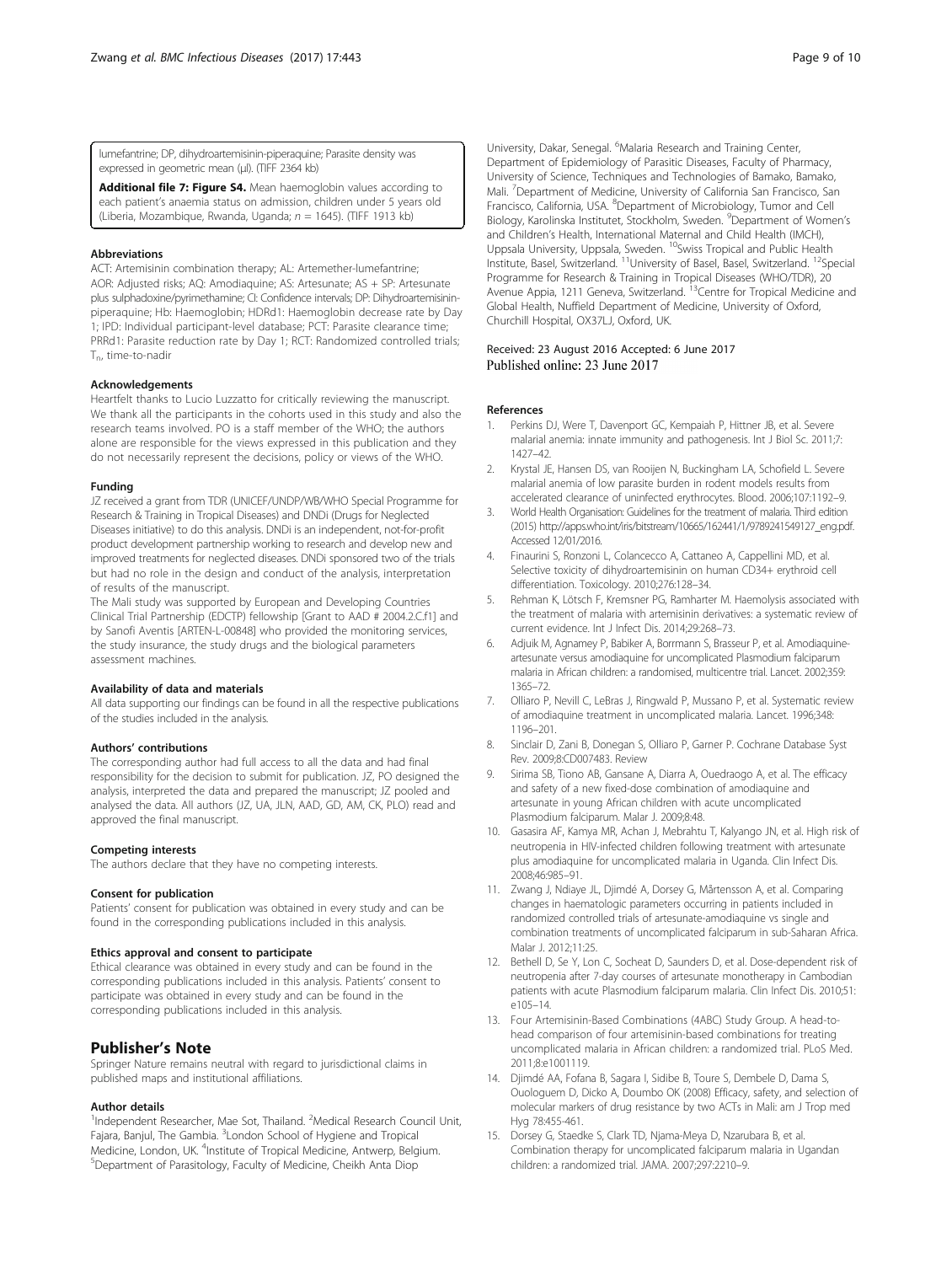<span id="page-8-0"></span>lumefantrine; DP, dihydroartemisinin-piperaquine; Parasite density was expressed in geometric mean (μl). (TIFF 2364 kb)

[Additional file 7: Figure S4.](dx.doi.org/10.1186/s12879-017-2530-6) Mean haemoglobin values according to each patient's anaemia status on admission, children under 5 years old (Liberia, Mozambique, Rwanda, Uganda;  $n = 1645$ ). (TIFF 1913 kb)

#### Abbreviations

ACT: Artemisinin combination therapy; AL: Artemether-lumefantrine; AOR: Adjusted risks; AQ: Amodiaquine; AS: Artesunate; AS + SP: Artesunate plus sulphadoxine/pyrimethamine; CI: Confidence intervals; DP: Dihydroartemisininpiperaquine; Hb: Haemoglobin; HDRd1: Haemoglobin decrease rate by Day 1; IPD: Individual participant-level database; PCT: Parasite clearance time; PRRd1: Parasite reduction rate by Day 1; RCT: Randomized controlled trials; T<sub>n</sub>, time-to-nadir

#### Acknowledgements

Heartfelt thanks to Lucio Luzzatto for critically reviewing the manuscript. We thank all the participants in the cohorts used in this study and also the research teams involved. PO is a staff member of the WHO; the authors alone are responsible for the views expressed in this publication and they do not necessarily represent the decisions, policy or views of the WHO.

#### Funding

JZ received a grant from TDR (UNICEF/UNDP/WB/WHO Special Programme for Research & Training in Tropical Diseases) and DNDi (Drugs for Neglected Diseases initiative) to do this analysis. DNDi is an independent, not-for-profit product development partnership working to research and develop new and improved treatments for neglected diseases. DNDi sponsored two of the trials but had no role in the design and conduct of the analysis, interpretation of results of the manuscript.

The Mali study was supported by European and Developing Countries Clinical Trial Partnership (EDCTP) fellowship [Grant to AAD # 2004.2.C.f1] and by Sanofi Aventis [ARTEN-L-00848] who provided the monitoring services, the study insurance, the study drugs and the biological parameters assessment machines.

#### Availability of data and materials

All data supporting our findings can be found in all the respective publications of the studies included in the analysis.

#### Authors' contributions

The corresponding author had full access to all the data and had final responsibility for the decision to submit for publication. JZ, PO designed the analysis, interpreted the data and prepared the manuscript; JZ pooled and analysed the data. All authors (JZ, UA, JLN, AAD, GD, AM, CK, PLO) read and approved the final manuscript.

#### Competing interests

The authors declare that they have no competing interests.

#### Consent for publication

Patients' consent for publication was obtained in every study and can be found in the corresponding publications included in this analysis.

#### Ethics approval and consent to participate

Ethical clearance was obtained in every study and can be found in the corresponding publications included in this analysis. Patients' consent to participate was obtained in every study and can be found in the corresponding publications included in this analysis.

#### Publisher's Note

Springer Nature remains neutral with regard to jurisdictional claims in published maps and institutional affiliations.

#### Author details

<sup>1</sup>Independent Researcher, Mae Sot, Thailand. <sup>2</sup>Medical Research Council Unit, Fajara, Banjul, The Gambia. <sup>3</sup>London School of Hygiene and Tropical Medicine, London, UK. <sup>4</sup>Institute of Tropical Medicine, Antwerp, Belgium.<br><sup>5</sup>Department of Parasitology, Faculty of Medicine, Cheikh Anta Diop Department of Parasitology, Faculty of Medicine, Cheikh Anta Diop

University, Dakar, Senegal. <sup>6</sup>Malaria Research and Training Center Department of Epidemiology of Parasitic Diseases, Faculty of Pharmacy, University of Science, Techniques and Technologies of Bamako, Bamako, Mali. <sup>7</sup> Department of Medicine, University of California San Francisco, San Francisco, California, USA. <sup>8</sup>Department of Microbiology, Tumor and Cell Biology, Karolinska Institutet, Stockholm, Sweden. <sup>9</sup>Department of Women's and Children's Health, International Maternal and Child Health (IMCH), Uppsala University, Uppsala, Sweden. <sup>10</sup>Swiss Tropical and Public Health Institute, Basel, Switzerland. <sup>11</sup>University of Basel, Basel, Switzerland. <sup>12</sup>Special Programme for Research & Training in Tropical Diseases (WHO/TDR), 20 Avenue Appia, 1211 Geneva, Switzerland. <sup>13</sup>Centre for Tropical Medicine and Global Health, Nuffield Department of Medicine, University of Oxford, Churchill Hospital, OX37LJ, Oxford, UK.

# Received: 23 August 2016 Accepted: 6 June 2017<br>Published online: 23 June 2017

#### References

- 1. Perkins DJ, Were T, Davenport GC, Kempaiah P, Hittner JB, et al. Severe malarial anemia: innate immunity and pathogenesis. Int J Biol Sc. 2011;7: 1427–42.
- 2. Krystal JE, Hansen DS, van Rooijen N, Buckingham LA, Schofield L. Severe malarial anemia of low parasite burden in rodent models results from accelerated clearance of uninfected erythrocytes. Blood. 2006;107:1192–9.
- 3. World Health Organisation: Guidelines for the treatment of malaria. Third edition (2015) [http://apps.who.int/iris/bitstream/10665/162441/1/9789241549127\\_eng.pdf](http://apps.who.int/iris/bitstream/10665/162441/1/9789241549127_eng.pdf). Accessed 12/01/2016.
- 4. Finaurini S, Ronzoni L, Colancecco A, Cattaneo A, Cappellini MD, et al. Selective toxicity of dihydroartemisinin on human CD34+ erythroid cell differentiation. Toxicology. 2010;276:128–34.
- 5. Rehman K, Lötsch F, Kremsner PG, Ramharter M. Haemolysis associated with the treatment of malaria with artemisinin derivatives: a systematic review of current evidence. Int J Infect Dis. 2014;29:268–73.
- 6. Adjuik M, Agnamey P, Babiker A, Borrmann S, Brasseur P, et al. Amodiaquineartesunate versus amodiaquine for uncomplicated Plasmodium falciparum malaria in African children: a randomised, multicentre trial. Lancet. 2002;359: 1365–72.
- 7. Olliaro P, Nevill C, LeBras J, Ringwald P, Mussano P, et al. Systematic review of amodiaquine treatment in uncomplicated malaria. Lancet. 1996;348: 1196–201.
- 8. Sinclair D, Zani B, Donegan S, Olliaro P, Garner P. Cochrane Database Syst Rev. 2009;8:CD007483. Review
- 9. Sirima SB, Tiono AB, Gansane A, Diarra A, Ouedraogo A, et al. The efficacy and safety of a new fixed-dose combination of amodiaquine and artesunate in young African children with acute uncomplicated Plasmodium falciparum. Malar J. 2009;8:48.
- 10. Gasasira AF, Kamya MR, Achan J, Mebrahtu T, Kalyango JN, et al. High risk of neutropenia in HIV-infected children following treatment with artesunate plus amodiaquine for uncomplicated malaria in Uganda. Clin Infect Dis. 2008;46:985–91.
- 11. Zwang J, Ndiaye JL, Djimdé A, Dorsey G, Mårtensson A, et al. Comparing changes in haematologic parameters occurring in patients included in randomized controlled trials of artesunate-amodiaquine vs single and combination treatments of uncomplicated falciparum in sub-Saharan Africa. Malar J. 2012;11:25.
- 12. Bethell D, Se Y, Lon C, Socheat D, Saunders D, et al. Dose-dependent risk of neutropenia after 7-day courses of artesunate monotherapy in Cambodian patients with acute Plasmodium falciparum malaria. Clin Infect Dis. 2010;51: e105–14.
- 13. Four Artemisinin-Based Combinations (4ABC) Study Group. A head-tohead comparison of four artemisinin-based combinations for treating uncomplicated malaria in African children: a randomized trial. PLoS Med. 2011;8:e1001119.
- 14. Djimdé AA, Fofana B, Sagara I, Sidibe B, Toure S, Dembele D, Dama S, Ouologuem D, Dicko A, Doumbo OK (2008) Efficacy, safety, and selection of molecular markers of drug resistance by two ACTs in Mali: am J Trop med Hyg 78:455-461.
- 15. Dorsey G, Staedke S, Clark TD, Njama-Meya D, Nzarubara B, et al. Combination therapy for uncomplicated falciparum malaria in Ugandan children: a randomized trial. JAMA. 2007;297:2210–9.